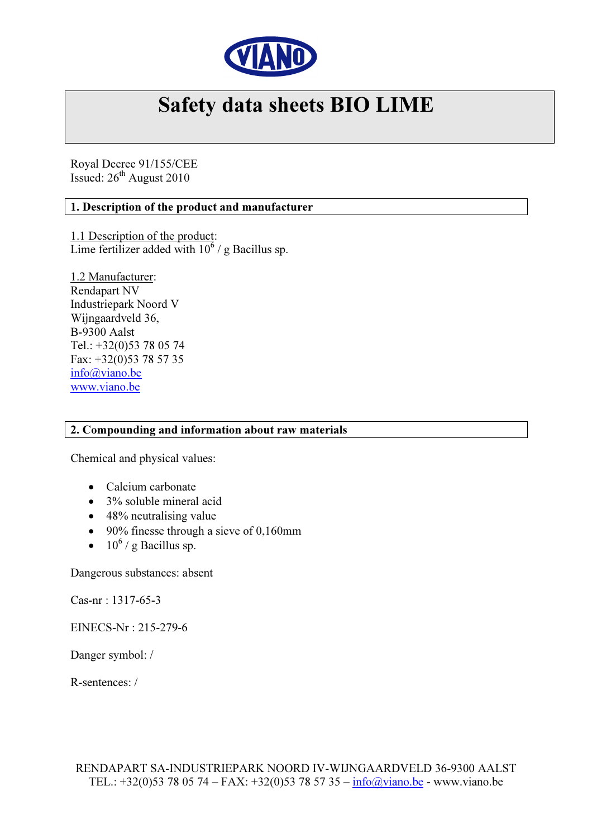

# Safety data sheets BIO LIME

Royal Decree 91/155/CEE Issued:  $26^{th}$  August 2010

## 1. Description of the product and manufacturer

1.1 Description of the product: Lime fertilizer added with  $10^6$  / g Bacillus sp.

1.2 Manufacturer: Rendapart NV Industriepark Noord V Wijngaardveld 36, B-9300 Aalst Tel.: +32(0)53 78 05 74 Fax: +32(0)53 78 57 35 info@viano.be www.viano.be

#### 2. Compounding and information about raw materials

Chemical and physical values:

- Calcium carbonate
- 3% soluble mineral acid
- 48% neutralising value
- 90% finesse through a sieve of 0,160mm
- $10^6$  / g Bacillus sp.

Dangerous substances: absent

Cas-nr : 1317-65-3

EINECS-Nr : 215-279-6

Danger symbol: /

R-sentences: /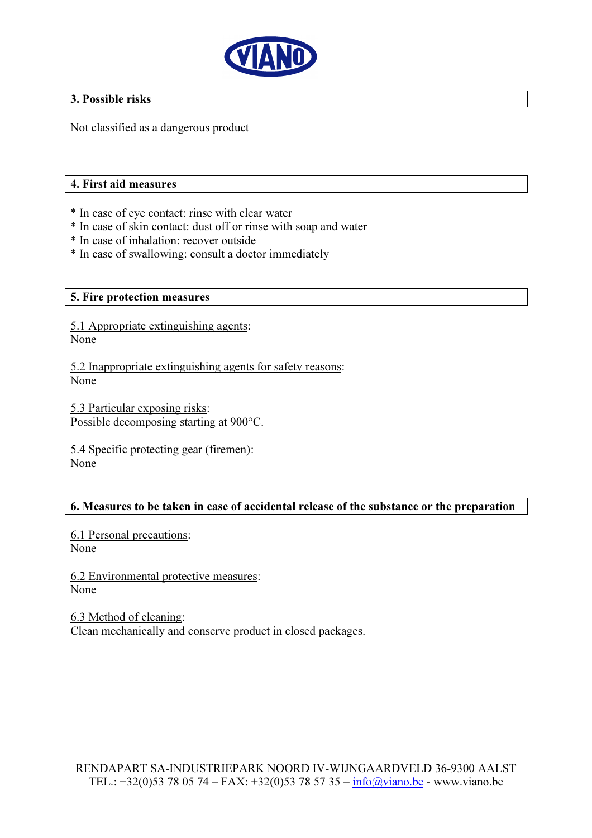

#### 3. Possible risks

Not classified as a dangerous product

#### 4. First aid measures

- \* In case of eye contact: rinse with clear water
- \* In case of skin contact: dust off or rinse with soap and water
- \* In case of inhalation: recover outside
- \* In case of swallowing: consult a doctor immediately

## 5. Fire protection measures

5.1 Appropriate extinguishing agents: None

5.2 Inappropriate extinguishing agents for safety reasons: None

5.3 Particular exposing risks: Possible decomposing starting at 900°C.

5.4 Specific protecting gear (firemen): None

## 6. Measures to be taken in case of accidental release of the substance or the preparation

6.1 Personal precautions: None

6.2 Environmental protective measures: None

6.3 Method of cleaning: Clean mechanically and conserve product in closed packages.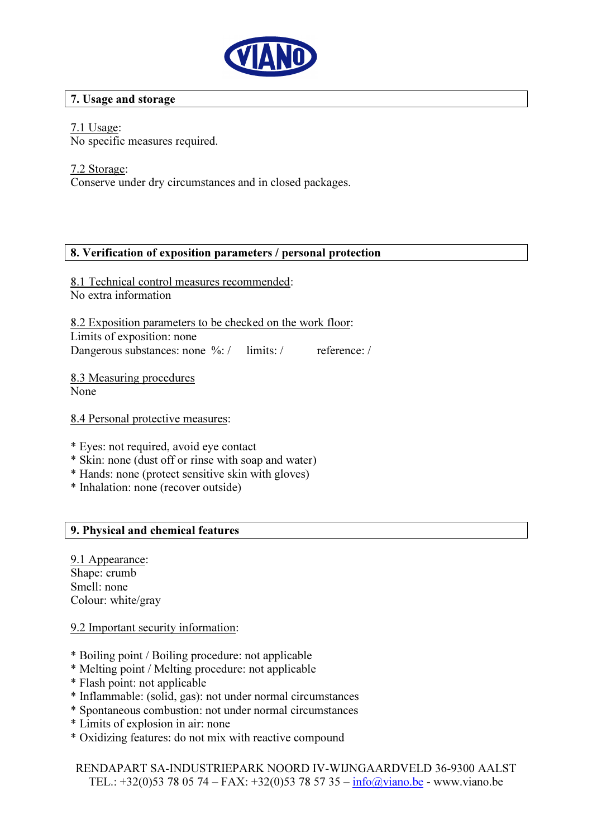

## 7. Usage and storage

## 7.1 Usage:

No specific measures required.

## 7.2 Storage:

Conserve under dry circumstances and in closed packages.

## 8. Verification of exposition parameters / personal protection

8.1 Technical control measures recommended: No extra information

8.2 Exposition parameters to be checked on the work floor: Limits of exposition: none Dangerous substances: none %: / limits: / reference: /

8.3 Measuring procedures None

8.4 Personal protective measures:

- \* Eyes: not required, avoid eye contact
- \* Skin: none (dust off or rinse with soap and water)
- \* Hands: none (protect sensitive skin with gloves)
- \* Inhalation: none (recover outside)

## 9. Physical and chemical features

9.1 Appearance: Shane: crumb Smell: none Colour: white/gray

#### 9.2 Important security information:

- \* Boiling point / Boiling procedure: not applicable
- \* Melting point / Melting procedure: not applicable
- \* Flash point: not applicable
- \* Inflammable: (solid, gas): not under normal circumstances
- \* Spontaneous combustion: not under normal circumstances
- \* Limits of explosion in air: none
- \* Oxidizing features: do not mix with reactive compound

RENDAPART SA-INDUSTRIEPARK NOORD IV-WIJNGAARDVELD 36-9300 AALST TEL.:  $+32(0)53780574 - FAX: +32(0)53785735 - info(\partial x)$ viano.be - www.viano.be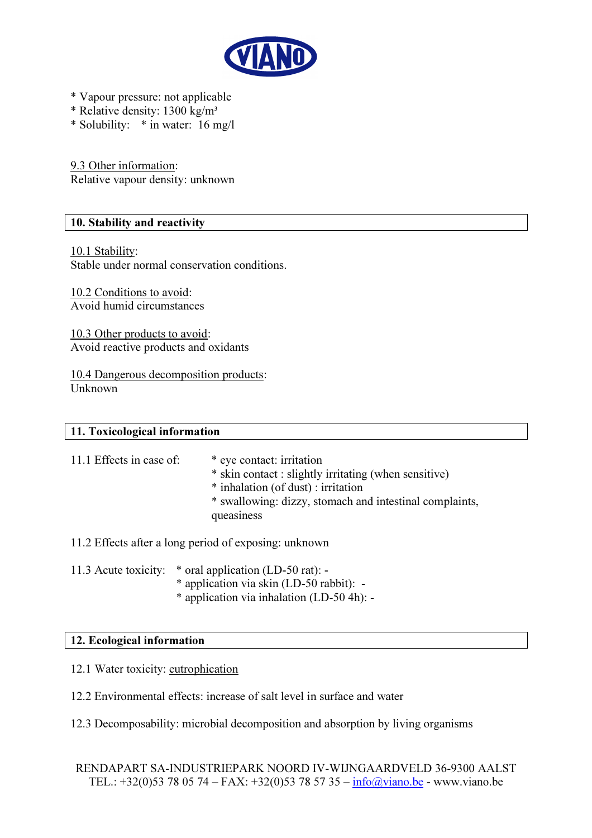

- \* Vapour pressure: not applicable
- \* Relative density: 1300 kg/m³
- \* Solubility: \* in water: 16 mg/l

9.3 Other information: Relative vapour density: unknown

#### 10. Stability and reactivity

10.1 Stability:

Stable under normal conservation conditions.

10.2 Conditions to avoid: Avoid humid circumstances

10.3 Other products to avoid: Avoid reactive products and oxidants

10.4 Dangerous decomposition products: Unknown

#### 11. Toxicological information

| 11.1 Effects in case of: | * eye contact: irritation<br>* skin contact : slightly irritating (when sensitive)<br>* inhalation (of dust) : irritation<br>* swallowing: dizzy, stomach and intestinal complaints,<br>queasiness |
|--------------------------|----------------------------------------------------------------------------------------------------------------------------------------------------------------------------------------------------|
|                          |                                                                                                                                                                                                    |

- 11.2 Effects after a long period of exposing: unknown
- 11.3 Acute toxicity: \* oral application (LD-50 rat):
	- \* application via skin (LD-50 rabbit): -
	- \* application via inhalation (LD-50 4h): -

#### 12. Ecological information

- 12.1 Water toxicity: eutrophication
- 12.2 Environmental effects: increase of salt level in surface and water
- 12.3 Decomposability: microbial decomposition and absorption by living organisms